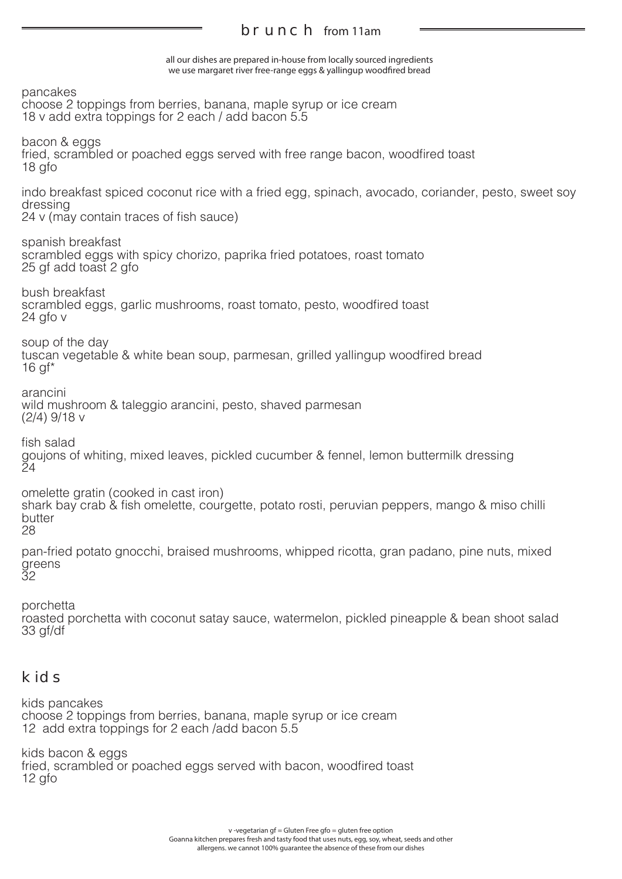## brunch from 11am

all our dishes are prepared in-house from locally sourced ingredients we use margaret river free-range eggs & yallingup woodfired bread

pancakes choose 2 toppings from berries, banana, maple syrup or ice cream 18 v add extra toppings for 2 each / add bacon 5.5 bacon & eggs fried, scrambled or poached eggs served with free range bacon, woodfired toast 18 gfo indo breakfast spiced coconut rice with a fried egg, spinach, avocado, coriander, pesto, sweet soy dressing 24 v (may contain traces of fish sauce) spanish breakfast scrambled eggs with spicy chorizo, paprika fried potatoes, roast tomato 25 gf add toast 2 gfo bush breakfast scrambled eggs, garlic mushrooms, roast tomato, pesto, woodfired toast 24 gfo v soup of the day tuscan vegetable & white bean soup, parmesan, grilled yallingup woodfired bread 16 gf\* arancini wild mushroom & taleggio arancini, pesto, shaved parmesan (2/4) 9/18 v fish salad goujons of whiting, mixed leaves, pickled cucumber & fennel, lemon buttermilk dressing  $\frac{5}{4}$ omelette gratin (cooked in cast iron) shark bay crab & fish omelette, courgette, potato rosti, peruvian peppers, mango & miso chilli butter 28 pan-fried potato gnocchi, braised mushrooms, whipped ricotta, gran padano, pine nuts, mixed greens 32 porchetta

roasted porchetta with coconut satay sauce, watermelon, pickled pineapple & bean shoot salad 33 gf/df

## kids

kids pancakes choose 2 toppings from berries, banana, maple syrup or ice cream 12 add extra toppings for 2 each /add bacon 5.5

kids bacon & eggs fried, scrambled or poached eggs served with bacon, woodfired toast 12 gfo